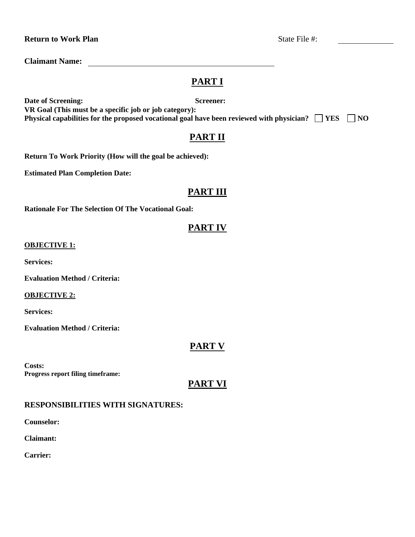### **Return to Work Plan**   $\blacksquare$   $\blacksquare$   $\blacksquare$   $\blacksquare$   $\blacksquare$   $\blacksquare$   $\blacksquare$   $\blacksquare$   $\blacksquare$   $\blacksquare$   $\blacksquare$   $\blacksquare$   $\blacksquare$   $\blacksquare$   $\blacksquare$   $\blacksquare$   $\blacksquare$   $\blacksquare$   $\blacksquare$   $\blacksquare$   $\blacksquare$   $\blacksquare$   $\blacksquare$   $\blacksquare$   $\blacksquare$   $\blacksquare$   $\blacksquare$   $\blacksquare$   $\bl$

**Claimant Name:** 

# **PART I**

**Date of Screening:** Screener:

**VR Goal (This must be a specific job or job category): Physical capabilities for the proposed vocational goal have been reviewed with physician?**  $\Box$  YES  $\Box$  NO

# **PART II**

**Return To Work Priority (How will the goal be achieved):** 

**Estimated Plan Completion Date:**

# **PART III**

**Rationale For The Selection Of The Vocational Goal:**

## **PART IV**

#### **OBJECTIVE 1:**

**Services:**

**Evaluation Method / Criteria:**

#### **OBJECTIVE 2:**

**Services:**

**Evaluation Method / Criteria:**

### **PART V**

**Costs: Progress report filing timeframe:** 

### **PART VI**

### **RESPONSIBILITIES WITH SIGNATURES:**

**Counselor:**

**Claimant:** 

**Carrier:**